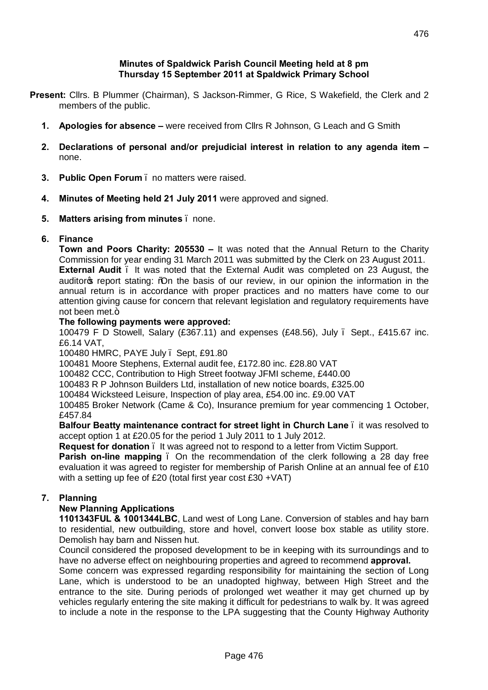#### **Minutes of Spaldwick Parish Council Meeting held at 8 pm Thursday 15 September 2011 at Spaldwick Primary School**

- **Present:** Cllrs. B Plummer (Chairman), S Jackson-Rimmer, G Rice, S Wakefield, the Clerk and 2 members of the public.
	- **1. Apologies for absence –** were received from Cllrs R Johnson, G Leach and G Smith
	- **2. Declarations of personal and/or prejudicial interest in relation to any agenda item –** none.
	- **3. Public Open Forum** no matters were raised.
	- **4. Minutes of Meeting held 21 July 2011** were approved and signed.
	- **5. Matters arising from minutes** none.

# **6. Finance**

**Town and Poors Charity: 205530 –** It was noted that the Annual Return to the Charity Commission for year ending 31 March 2011 was submitted by the Clerk on 23 August 2011. **External Audit** – It was noted that the External Audit was completed on 23 August, the auditor<sub>c</sub> report stating: % on the basis of our review, in our opinion the information in the annual return is in accordance with proper practices and no matters have come to our attention giving cause for concern that relevant legislation and regulatory requirements have not been met. $+$ 

## **The following payments were approved:**

100479 F D Stowell, Salary (£367.11) and expenses (£48.56), July – Sept., £415.67 inc. £6.14 VAT,

100480 HMRC, PAYE July – Sept, £91.80

100481 Moore Stephens, External audit fee, £172.80 inc. £28.80 VAT

100482 CCC, Contribution to High Street footway JFMI scheme, £440.00

100483 R P Johnson Builders Ltd, installation of new notice boards, £325.00

100484 Wicksteed Leisure, Inspection of play area, £54.00 inc. £9.00 VAT

100485 Broker Network (Came & Co), Insurance premium for year commencing 1 October, £457.84

**Balfour Beatty maintenance contract for street light in Church Lane** – it was resolved to accept option 1 at £20.05 for the period 1 July 2011 to 1 July 2012.

**Request for donation** – It was agreed not to respond to a letter from Victim Support.

**Parish on-line mapping** . On the recommendation of the clerk following a 28 day free evaluation it was agreed to register for membership of Parish Online at an annual fee of £10 with a setting up fee of £20 (total first year cost £30 +VAT)

# **7. Planning**

# **New Planning Applications**

**1101343FUL & 1001344LBC**, Land west of Long Lane. Conversion of stables and hay barn to residential, new outbuilding, store and hovel, convert loose box stable as utility store. Demolish hay barn and Nissen hut.

Council considered the proposed development to be in keeping with its surroundings and to have no adverse effect on neighbouring properties and agreed to recommend **approval.**

Some concern was expressed regarding responsibility for maintaining the section of Long Lane, which is understood to be an unadopted highway, between High Street and the entrance to the site. During periods of prolonged wet weather it may get churned up by vehicles regularly entering the site making it difficult for pedestrians to walk by. It was agreed to include a note in the response to the LPA suggesting that the County Highway Authority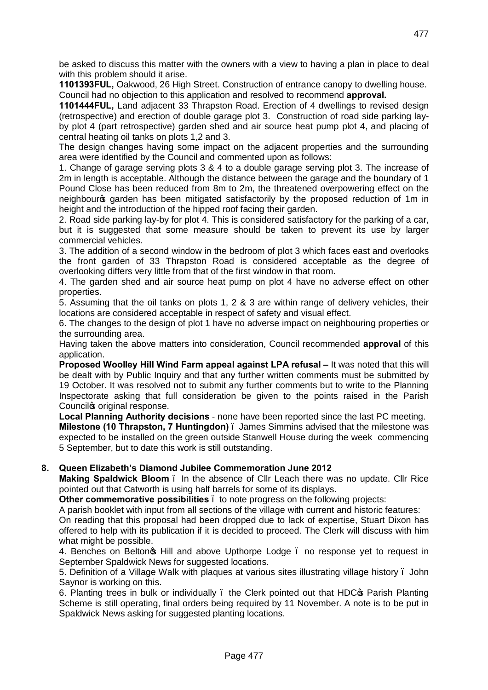be asked to discuss this matter with the owners with a view to having a plan in place to deal with this problem should it arise.

**1101393FUL,** Oakwood, 26 High Street. Construction of entrance canopy to dwelling house. Council had no objection to this application and resolved to recommend **approval.**

**1101444FUL,** Land adjacent 33 Thrapston Road. Erection of 4 dwellings to revised design (retrospective) and erection of double garage plot 3. Construction of road side parking layby plot 4 (part retrospective) garden shed and air source heat pump plot 4, and placing of central heating oil tanks on plots 1,2 and 3.

The design changes having some impact on the adjacent properties and the surrounding area were identified by the Council and commented upon as follows:

1. Change of garage serving plots 3 & 4 to a double garage serving plot 3. The increase of 2m in length is acceptable. Although the distance between the garage and the boundary of 1 Pound Close has been reduced from 8m to 2m, the threatened overpowering effect on the neighbours garden has been mitigated satisfactorily by the proposed reduction of 1m in height and the introduction of the hipped roof facing their garden.

2. Road side parking lay-by for plot 4. This is considered satisfactory for the parking of a car, but it is suggested that some measure should be taken to prevent its use by larger commercial vehicles.

3. The addition of a second window in the bedroom of plot 3 which faces east and overlooks the front garden of 33 Thrapston Road is considered acceptable as the degree of overlooking differs very little from that of the first window in that room.

4. The garden shed and air source heat pump on plot 4 have no adverse effect on other properties.

5. Assuming that the oil tanks on plots 1, 2 & 3 are within range of delivery vehicles, their locations are considered acceptable in respect of safety and visual effect.

6. The changes to the design of plot 1 have no adverse impact on neighbouring properties or the surrounding area.

Having taken the above matters into consideration, Council recommended **approval** of this application.

**Proposed Woolley Hill Wind Farm appeal against LPA refusal – It was noted that this will** be dealt with by Public Inquiry and that any further written comments must be submitted by 19 October. It was resolved not to submit any further comments but to write to the Planning Inspectorate asking that full consideration be given to the points raised in the Parish Council<sup>®</sup> original response.

**Local Planning Authority decisions** - none have been reported since the last PC meeting. **Milestone (10 Thrapston, 7 Huntingdon)** – James Simmins advised that the milestone was expected to be installed on the green outside Stanwell House during the week commencing

### **8. Queen Elizabeth's Diamond Jubilee Commemoration June 2012**

5 September, but to date this work is still outstanding.

**Making Spaldwick Bloom** – In the absence of Cllr Leach there was no update. Cllr Rice pointed out that Catworth is using half barrels for some of its displays.

**Other commemorative possibilities** – to note progress on the following projects:

A parish booklet with input from all sections of the village with current and historic features:

On reading that this proposal had been dropped due to lack of expertise, Stuart Dixon has offered to help with its publication if it is decided to proceed. The Clerk will discuss with him what might be possible.

4. Benches on Beltongs Hill and above Upthorpe Lodge . no response yet to request in September Spaldwick News for suggested locations.

5. Definition of a Village Walk with plaques at various sites illustrating village history – John Saynor is working on this.

6. Planting trees in bulk or individually the Clerk pointed out that HDC of Parish Planting Scheme is still operating, final orders being required by 11 November. A note is to be put in Spaldwick News asking for suggested planting locations.